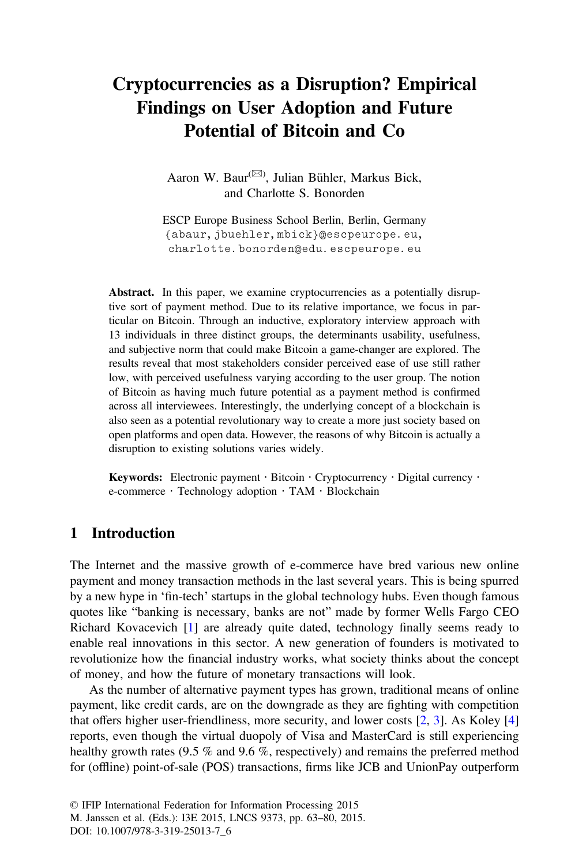# Cryptocurrencies as a Disruption? Empirical Findings on User Adoption and Future Potential of Bitcoin and Co

Aaron W. Baur<sup>( $\boxtimes$ )</sup>, Julian Bühler, Markus Bick, and Charlotte S. Bonorden

ESCP Europe Business School Berlin, Berlin, Germany {abaur,jbuehler,mbick}@escpeurope.eu, charlotte.bonorden@edu.escpeurope.eu

Abstract. In this paper, we examine cryptocurrencies as a potentially disruptive sort of payment method. Due to its relative importance, we focus in particular on Bitcoin. Through an inductive, exploratory interview approach with 13 individuals in three distinct groups, the determinants usability, usefulness, and subjective norm that could make Bitcoin a game-changer are explored. The results reveal that most stakeholders consider perceived ease of use still rather low, with perceived usefulness varying according to the user group. The notion of Bitcoin as having much future potential as a payment method is confirmed across all interviewees. Interestingly, the underlying concept of a blockchain is also seen as a potential revolutionary way to create a more just society based on open platforms and open data. However, the reasons of why Bitcoin is actually a disruption to existing solutions varies widely.

Keywords: Electronic payment  $\cdot$  Bitcoin  $\cdot$  Cryptocurrency  $\cdot$  Digital currency  $\cdot$  e-commerce  $\cdot$  Technology adoption  $\cdot$  TAM  $\cdot$  Blockchain

# 1 Introduction

The Internet and the massive growth of e-commerce have bred various new online payment and money transaction methods in the last several years. This is being spurred by a new hype in 'fin-tech' startups in the global technology hubs. Even though famous quotes like "banking is necessary, banks are not" made by former Wells Fargo CEO Richard Kovacevich [\[1](#page-14-0)] are already quite dated, technology finally seems ready to enable real innovations in this sector. A new generation of founders is motivated to revolutionize how the financial industry works, what society thinks about the concept of money, and how the future of monetary transactions will look.

As the number of alternative payment types has grown, traditional means of online payment, like credit cards, are on the downgrade as they are fighting with competition that offers higher user-friendliness, more security, and lower costs [\[2](#page-14-0), [3\]](#page-14-0). As Koley [\[4](#page-14-0)] reports, even though the virtual duopoly of Visa and MasterCard is still experiencing healthy growth rates (9.5 % and 9.6 %, respectively) and remains the preferred method for (offline) point-of-sale (POS) transactions, firms like JCB and UnionPay outperform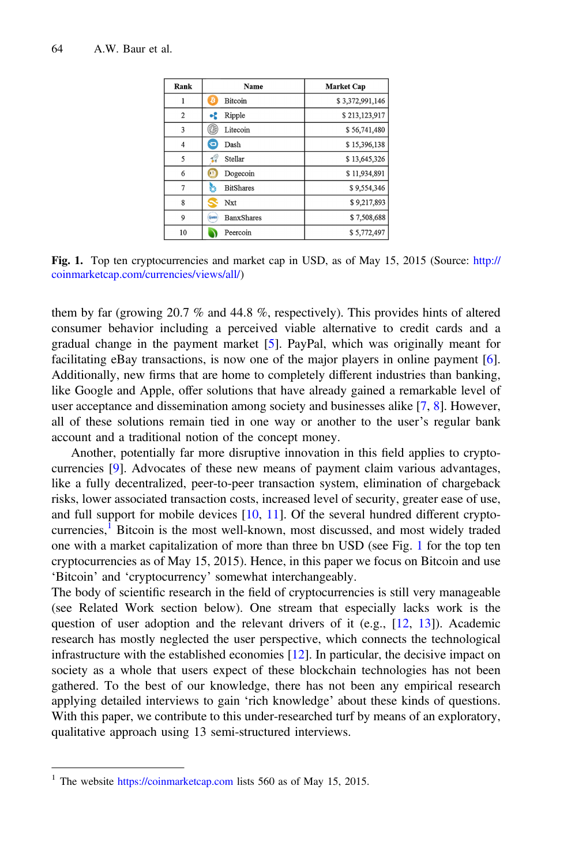| Rank           | Name                     | <b>Market Cap</b> |
|----------------|--------------------------|-------------------|
|                | ₿<br><b>Bitcoin</b>      | \$3,372,991,146   |
| $\overline{2}$ | Ripple                   | \$213,123,917     |
| 3              | Litecoin<br>35           | \$56,741,480      |
| $\overline{4}$ | Dash<br>ĥ                | \$15,396,138      |
| 5              | €<br>Stellar             | \$13,645,326      |
| 6              | Dogecoin<br>$\bullet$    | \$11,934,891      |
| 7              | <b>BitShares</b><br>X    | \$9,554,346       |
| 8              | Nxt                      | \$9,217,893       |
| 9              | <b>BanxShares</b><br>šwo | \$7,508,688       |
| 10             | Peercoin                 | \$5,772,497       |

Fig. 1. Top ten cryptocurrencies and market cap in USD, as of May 15, 2015 (Source: [http://](http://coinmarketcap.com/currencies/views/all/) [coinmarketcap.com/currencies/views/all/\)](http://coinmarketcap.com/currencies/views/all/)

them by far (growing 20.7 % and 44.8 %, respectively). This provides hints of altered consumer behavior including a perceived viable alternative to credit cards and a gradual change in the payment market [[5\]](#page-15-0). PayPal, which was originally meant for facilitating eBay transactions, is now one of the major players in online payment [[6\]](#page-15-0). Additionally, new firms that are home to completely different industries than banking, like Google and Apple, offer solutions that have already gained a remarkable level of user acceptance and dissemination among society and businesses alike [[7,](#page-15-0) [8\]](#page-15-0). However, all of these solutions remain tied in one way or another to the user's regular bank account and a traditional notion of the concept money.

Another, potentially far more disruptive innovation in this field applies to cryptocurrencies [[9\]](#page-15-0). Advocates of these new means of payment claim various advantages, like a fully decentralized, peer-to-peer transaction system, elimination of chargeback risks, lower associated transaction costs, increased level of security, greater ease of use, and full support for mobile devices [\[10](#page-15-0), [11](#page-15-0)]. Of the several hundred different cryptocurrencies,<sup>1</sup> Bitcoin is the most well-known, most discussed, and most widely traded one with a market capitalization of more than three bn USD (see Fig. 1 for the top ten cryptocurrencies as of May 15, 2015). Hence, in this paper we focus on Bitcoin and use 'Bitcoin' and 'cryptocurrency' somewhat interchangeably.

The body of scientific research in the field of cryptocurrencies is still very manageable (see Related Work section below). One stream that especially lacks work is the question of user adoption and the relevant drivers of it (e.g.,  $[12, 13]$  $[12, 13]$  $[12, 13]$  $[12, 13]$ ). Academic research has mostly neglected the user perspective, which connects the technological infrastructure with the established economies [[12\]](#page-15-0). In particular, the decisive impact on society as a whole that users expect of these blockchain technologies has not been gathered. To the best of our knowledge, there has not been any empirical research applying detailed interviews to gain 'rich knowledge' about these kinds of questions. With this paper, we contribute to this under-researched turf by means of an exploratory, qualitative approach using 13 semi-structured interviews.

<sup>&</sup>lt;sup>1</sup> The website <https://coinmarketcap.com> lists 560 as of May 15, 2015.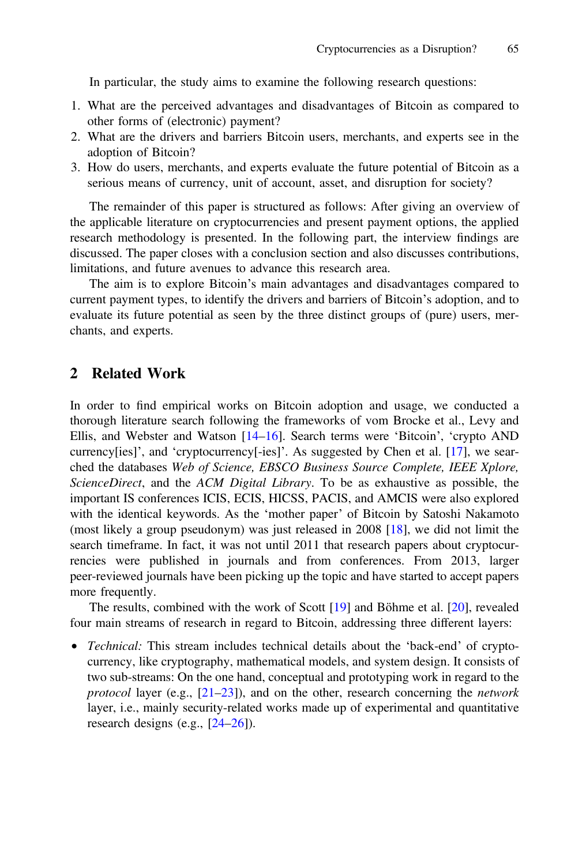In particular, the study aims to examine the following research questions:

- 1. What are the perceived advantages and disadvantages of Bitcoin as compared to other forms of (electronic) payment?
- 2. What are the drivers and barriers Bitcoin users, merchants, and experts see in the adoption of Bitcoin?
- 3. How do users, merchants, and experts evaluate the future potential of Bitcoin as a serious means of currency, unit of account, asset, and disruption for society?

The remainder of this paper is structured as follows: After giving an overview of the applicable literature on cryptocurrencies and present payment options, the applied research methodology is presented. In the following part, the interview findings are discussed. The paper closes with a conclusion section and also discusses contributions, limitations, and future avenues to advance this research area.

The aim is to explore Bitcoin's main advantages and disadvantages compared to current payment types, to identify the drivers and barriers of Bitcoin's adoption, and to evaluate its future potential as seen by the three distinct groups of (pure) users, merchants, and experts.

### 2 Related Work

In order to find empirical works on Bitcoin adoption and usage, we conducted a thorough literature search following the frameworks of vom Brocke et al., Levy and Ellis, and Webster and Watson [\[14](#page-15-0)–[16](#page-15-0)]. Search terms were 'Bitcoin', 'crypto AND currency[ies]', and 'cryptocurrency[-ies]'. As suggested by Chen et al. [[17\]](#page-15-0), we searched the databases Web of Science, EBSCO Business Source Complete, IEEE Xplore, ScienceDirect, and the ACM Digital Library. To be as exhaustive as possible, the important IS conferences ICIS, ECIS, HICSS, PACIS, and AMCIS were also explored with the identical keywords. As the 'mother paper' of Bitcoin by Satoshi Nakamoto (most likely a group pseudonym) was just released in 2008 [\[18](#page-15-0)], we did not limit the search timeframe. In fact, it was not until 2011 that research papers about cryptocurrencies were published in journals and from conferences. From 2013, larger peer-reviewed journals have been picking up the topic and have started to accept papers more frequently.

The results, combined with the work of Scott [[19\]](#page-15-0) and Böhme et al. [[20\]](#page-15-0), revealed four main streams of research in regard to Bitcoin, addressing three different layers:

• Technical: This stream includes technical details about the 'back-end' of cryptocurrency, like cryptography, mathematical models, and system design. It consists of two sub-streams: On the one hand, conceptual and prototyping work in regard to the protocol layer (e.g.,  $[21-23]$  $[21-23]$  $[21-23]$  $[21-23]$ ), and on the other, research concerning the *network* layer, i.e., mainly security-related works made up of experimental and quantitative research designs (e.g., [\[24](#page-15-0)–[26](#page-15-0)]).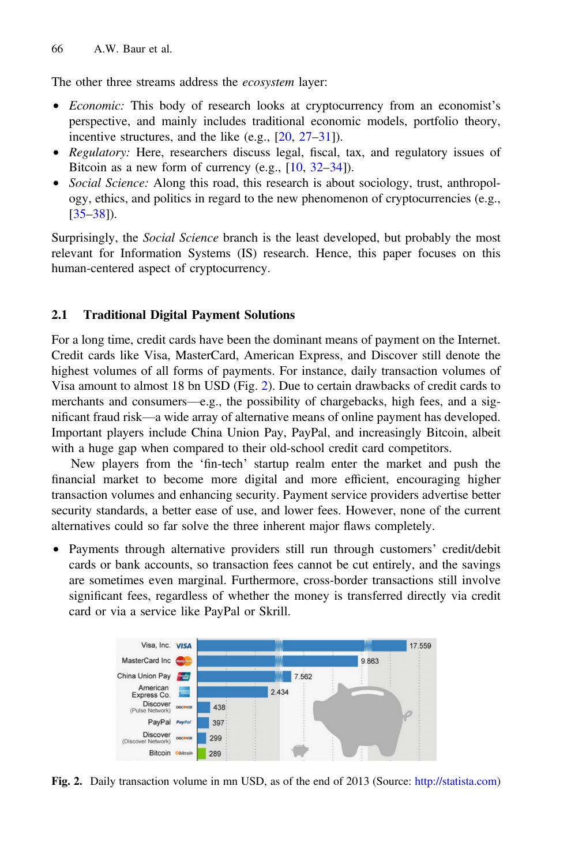The other three streams address the ecosystem layer:

- *Economic:* This body of research looks at cryptocurrency from an economist's perspective, and mainly includes traditional economic models, portfolio theory, incentive structures, and the like (e.g., [[20,](#page-15-0) [27](#page-15-0)–[31](#page-16-0)]).
- Regulatory: Here, researchers discuss legal, fiscal, tax, and regulatory issues of Bitcoin as a new form of currency (e.g., [\[10](#page-15-0), [32](#page-16-0)–[34\]](#page-16-0)).
- Social Science: Along this road, this research is about sociology, trust, anthropology, ethics, and politics in regard to the new phenomenon of cryptocurrencies (e.g., [\[35](#page-16-0)–[38](#page-16-0)]).

Surprisingly, the Social Science branch is the least developed, but probably the most relevant for Information Systems (IS) research. Hence, this paper focuses on this human-centered aspect of cryptocurrency.

# 2.1 Traditional Digital Payment Solutions

For a long time, credit cards have been the dominant means of payment on the Internet. Credit cards like Visa, MasterCard, American Express, and Discover still denote the highest volumes of all forms of payments. For instance, daily transaction volumes of Visa amount to almost 18 bn USD (Fig. 2). Due to certain drawbacks of credit cards to merchants and consumers—e.g., the possibility of chargebacks, high fees, and a significant fraud risk—a wide array of alternative means of online payment has developed. Important players include China Union Pay, PayPal, and increasingly Bitcoin, albeit with a huge gap when compared to their old-school credit card competitors.

New players from the 'fin-tech' startup realm enter the market and push the financial market to become more digital and more efficient, encouraging higher transaction volumes and enhancing security. Payment service providers advertise better security standards, a better ease of use, and lower fees. However, none of the current alternatives could so far solve the three inherent major flaws completely.

• Payments through alternative providers still run through customers' credit/debit cards or bank accounts, so transaction fees cannot be cut entirely, and the savings are sometimes even marginal. Furthermore, cross-border transactions still involve significant fees, regardless of whether the money is transferred directly via credit card or via a service like PayPal or Skrill.



Fig. 2. Daily transaction volume in mn USD, as of the end of 2013 (Source: [http://statista.com\)](http://statista.com)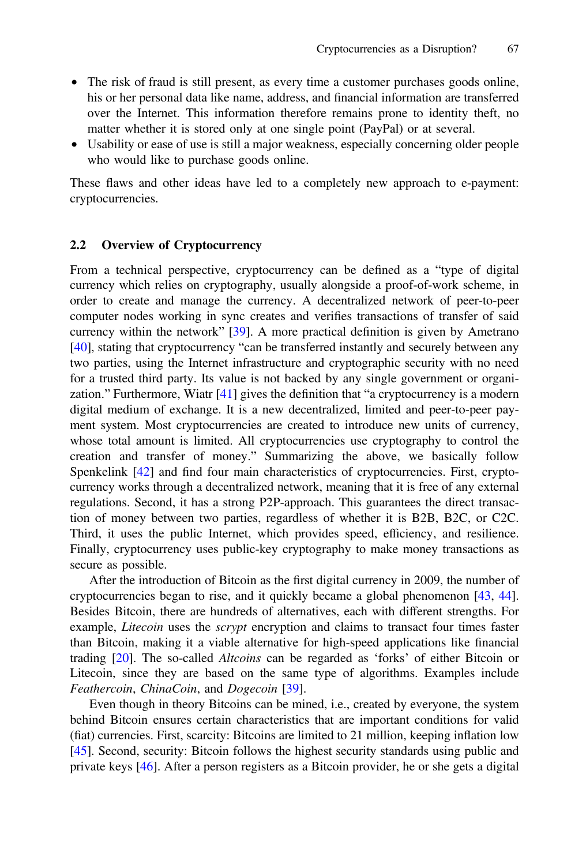- The risk of fraud is still present, as every time a customer purchases goods online, his or her personal data like name, address, and financial information are transferred over the Internet. This information therefore remains prone to identity theft, no matter whether it is stored only at one single point (PayPal) or at several.
- Usability or ease of use is still a major weakness, especially concerning older people who would like to purchase goods online.

These flaws and other ideas have led to a completely new approach to e-payment: cryptocurrencies.

### 2.2 Overview of Cryptocurrency

From a technical perspective, cryptocurrency can be defined as a "type of digital currency which relies on cryptography, usually alongside a proof-of-work scheme, in order to create and manage the currency. A decentralized network of peer-to-peer computer nodes working in sync creates and verifies transactions of transfer of said currency within the network" [\[39](#page-16-0)]. A more practical definition is given by Ametrano [\[40](#page-16-0)], stating that cryptocurrency "can be transferred instantly and securely between any two parties, using the Internet infrastructure and cryptographic security with no need for a trusted third party. Its value is not backed by any single government or organization." Furthermore, Wiatr [\[41](#page-16-0)] gives the definition that "a cryptocurrency is a modern digital medium of exchange. It is a new decentralized, limited and peer-to-peer payment system. Most cryptocurrencies are created to introduce new units of currency, whose total amount is limited. All cryptocurrencies use cryptography to control the creation and transfer of money." Summarizing the above, we basically follow Spenkelink [\[42](#page-16-0)] and find four main characteristics of cryptocurrencies. First, cryptocurrency works through a decentralized network, meaning that it is free of any external regulations. Second, it has a strong P2P-approach. This guarantees the direct transaction of money between two parties, regardless of whether it is B2B, B2C, or C2C. Third, it uses the public Internet, which provides speed, efficiency, and resilience. Finally, cryptocurrency uses public-key cryptography to make money transactions as secure as possible.

After the introduction of Bitcoin as the first digital currency in 2009, the number of cryptocurrencies began to rise, and it quickly became a global phenomenon [\[43](#page-16-0), [44\]](#page-16-0). Besides Bitcoin, there are hundreds of alternatives, each with different strengths. For example, *Litecoin* uses the *scrypt* encryption and claims to transact four times faster than Bitcoin, making it a viable alternative for high-speed applications like financial trading [\[20](#page-15-0)]. The so-called Altcoins can be regarded as 'forks' of either Bitcoin or Litecoin, since they are based on the same type of algorithms. Examples include Feathercoin, ChinaCoin, and Dogecoin [\[39](#page-16-0)].

Even though in theory Bitcoins can be mined, i.e., created by everyone, the system behind Bitcoin ensures certain characteristics that are important conditions for valid (fiat) currencies. First, scarcity: Bitcoins are limited to 21 million, keeping inflation low [\[45](#page-16-0)]. Second, security: Bitcoin follows the highest security standards using public and private keys [[46\]](#page-16-0). After a person registers as a Bitcoin provider, he or she gets a digital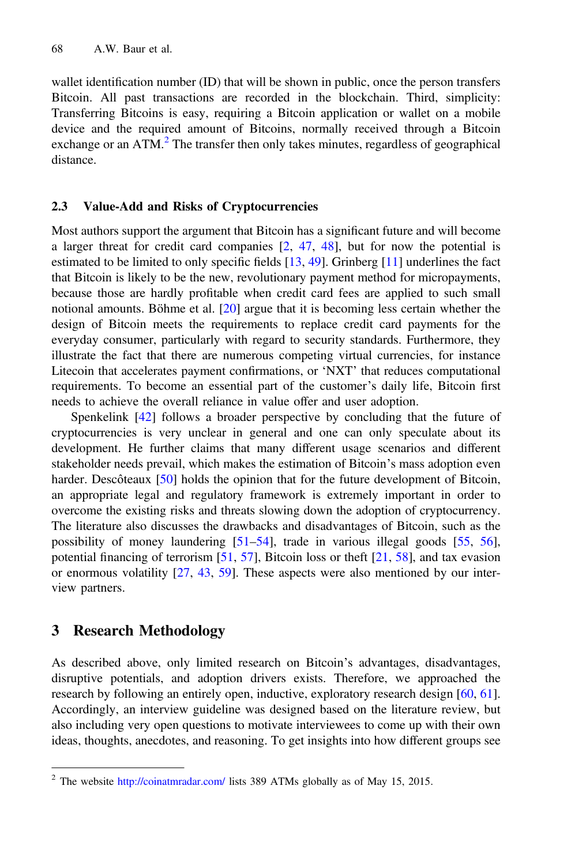wallet identification number (ID) that will be shown in public, once the person transfers Bitcoin. All past transactions are recorded in the blockchain. Third, simplicity: Transferring Bitcoins is easy, requiring a Bitcoin application or wallet on a mobile device and the required amount of Bitcoins, normally received through a Bitcoin exchange or an ATM.<sup>2</sup> The transfer then only takes minutes, regardless of geographical distance.

#### 2.3 Value-Add and Risks of Cryptocurrencies

Most authors support the argument that Bitcoin has a significant future and will become a larger threat for credit card companies [\[2](#page-14-0), [47](#page-16-0), [48](#page-16-0)], but for now the potential is estimated to be limited to only specific fields [\[13](#page-15-0), [49](#page-16-0)]. Grinberg [[11\]](#page-15-0) underlines the fact that Bitcoin is likely to be the new, revolutionary payment method for micropayments, because those are hardly profitable when credit card fees are applied to such small notional amounts. Böhme et al. [[20\]](#page-15-0) argue that it is becoming less certain whether the design of Bitcoin meets the requirements to replace credit card payments for the everyday consumer, particularly with regard to security standards. Furthermore, they illustrate the fact that there are numerous competing virtual currencies, for instance Litecoin that accelerates payment confirmations, or 'NXT' that reduces computational requirements. To become an essential part of the customer's daily life, Bitcoin first needs to achieve the overall reliance in value offer and user adoption.

Spenkelink [[42\]](#page-16-0) follows a broader perspective by concluding that the future of cryptocurrencies is very unclear in general and one can only speculate about its development. He further claims that many different usage scenarios and different stakeholder needs prevail, which makes the estimation of Bitcoin's mass adoption even harder. Descôteaux [\[50](#page-16-0)] holds the opinion that for the future development of Bitcoin, an appropriate legal and regulatory framework is extremely important in order to overcome the existing risks and threats slowing down the adoption of cryptocurrency. The literature also discusses the drawbacks and disadvantages of Bitcoin, such as the possibility of money laundering [\[51](#page-16-0)–[54](#page-16-0)], trade in various illegal goods [\[55](#page-16-0), [56\]](#page-16-0), potential financing of terrorism [[51,](#page-16-0) [57](#page-17-0)], Bitcoin loss or theft [\[21](#page-15-0), [58\]](#page-17-0), and tax evasion or enormous volatility [\[27](#page-15-0), [43](#page-16-0), [59](#page-17-0)]. These aspects were also mentioned by our interview partners.

# 3 Research Methodology

As described above, only limited research on Bitcoin's advantages, disadvantages, disruptive potentials, and adoption drivers exists. Therefore, we approached the research by following an entirely open, inductive, exploratory research design [[60,](#page-17-0) [61\]](#page-17-0). Accordingly, an interview guideline was designed based on the literature review, but also including very open questions to motivate interviewees to come up with their own ideas, thoughts, anecdotes, and reasoning. To get insights into how different groups see

<sup>&</sup>lt;sup>2</sup> The website <http://coinatmradar.com/> lists 389 ATMs globally as of May 15, 2015.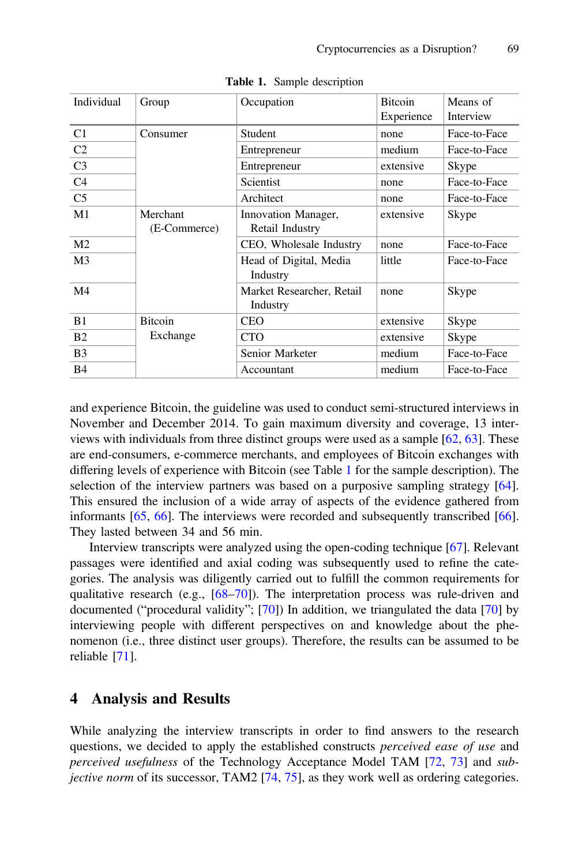| Individual     | Group                    | Occupation                             | <b>Bitcoin</b><br>Experience | Means of<br>Interview |
|----------------|--------------------------|----------------------------------------|------------------------------|-----------------------|
| C1             | Consumer                 | Student                                | none                         | Face-to-Face          |
| C <sub>2</sub> |                          | Entrepreneur                           | medium                       | Face-to-Face          |
| C <sub>3</sub> |                          | Entrepreneur                           | extensive                    | Skype                 |
| C4             |                          | Scientist                              | none                         | Face-to-Face          |
| C <sub>5</sub> |                          | Architect                              | none                         | Face-to-Face          |
| M1             | Merchant<br>(E-Commerce) | Innovation Manager,<br>Retail Industry | extensive                    | Skype                 |
| M <sub>2</sub> |                          | CEO, Wholesale Industry                | none                         | Face-to-Face          |
| M <sub>3</sub> |                          | Head of Digital, Media<br>Industry     | little                       | Face-to-Face          |
| M4             |                          | Market Researcher, Retail<br>Industry  | none                         | Skype                 |
| B1             | Bitcoin                  | <b>CEO</b>                             | extensive                    | Skype                 |
| B <sub>2</sub> | Exchange                 | <b>CTO</b>                             | extensive                    | Skype                 |
| B <sub>3</sub> |                          | Senior Marketer                        | medium                       | Face-to-Face          |
| <b>B4</b>      |                          | Accountant                             | medium                       | Face-to-Face          |

Table 1. Sample description

and experience Bitcoin, the guideline was used to conduct semi-structured interviews in November and December 2014. To gain maximum diversity and coverage, 13 interviews with individuals from three distinct groups were used as a sample [\[62](#page-17-0), [63\]](#page-17-0). These are end-consumers, e-commerce merchants, and employees of Bitcoin exchanges with differing levels of experience with Bitcoin (see Table 1 for the sample description). The selection of the interview partners was based on a purposive sampling strategy [[64\]](#page-17-0). This ensured the inclusion of a wide array of aspects of the evidence gathered from informants [\[65](#page-17-0), [66\]](#page-17-0). The interviews were recorded and subsequently transcribed [[66\]](#page-17-0). They lasted between 34 and 56 min.

Interview transcripts were analyzed using the open-coding technique [\[67](#page-17-0)]. Relevant passages were identified and axial coding was subsequently used to refine the categories. The analysis was diligently carried out to fulfill the common requirements for qualitative research (e.g., [[68](#page-17-0)–[70\]](#page-17-0)). The interpretation process was rule-driven and documented ("procedural validity"; [[70\]](#page-17-0)) In addition, we triangulated the data [\[70](#page-17-0)] by interviewing people with different perspectives on and knowledge about the phenomenon (i.e., three distinct user groups). Therefore, the results can be assumed to be reliable [[71\]](#page-17-0).

### 4 Analysis and Results

While analyzing the interview transcripts in order to find answers to the research questions, we decided to apply the established constructs *perceived ease of use* and perceived usefulness of the Technology Acceptance Model TAM [\[72](#page-17-0), [73\]](#page-17-0) and sub-jective norm of its successor, TAM2 [\[74](#page-17-0), [75](#page-17-0)], as they work well as ordering categories.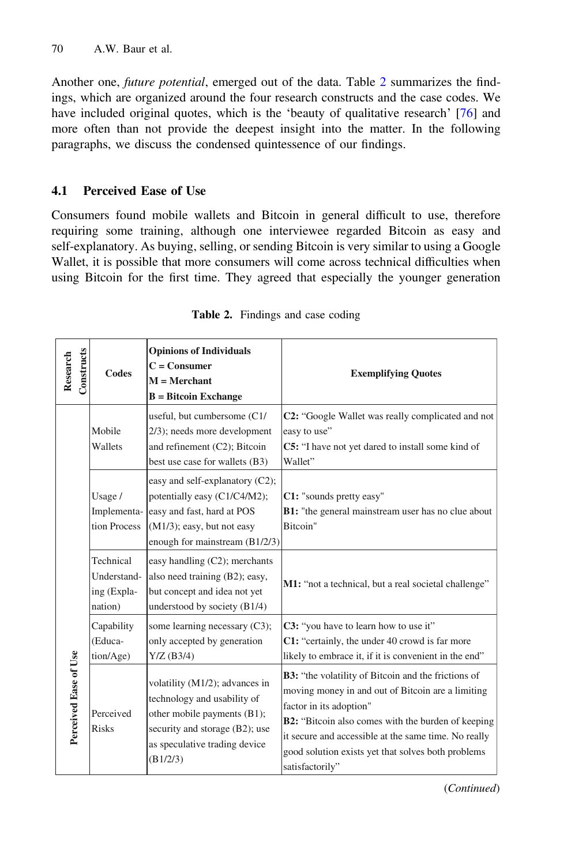Another one, future potential, emerged out of the data. Table 2 summarizes the findings, which are organized around the four research constructs and the case codes. We have included original quotes, which is the 'beauty of qualitative research' [\[76](#page-17-0)] and more often than not provide the deepest insight into the matter. In the following paragraphs, we discuss the condensed quintessence of our findings.

# 4.1 Perceived Ease of Use

Consumers found mobile wallets and Bitcoin in general difficult to use, therefore requiring some training, although one interviewee regarded Bitcoin as easy and self-explanatory. As buying, selling, or sending Bitcoin is very similar to using a Google Wallet, it is possible that more consumers will come across technical difficulties when using Bitcoin for the first time. They agreed that especially the younger generation

| Constructs<br>Research | Codes                                              | <b>Opinions of Individuals</b><br>$C = \text{Consumer}$<br>$M =$ Merchant<br>$B = Bitcoin Exchange$                                                                         | <b>Exemplifying Quotes</b>                                                                                                                                                                                                                                                                                                               |
|------------------------|----------------------------------------------------|-----------------------------------------------------------------------------------------------------------------------------------------------------------------------------|------------------------------------------------------------------------------------------------------------------------------------------------------------------------------------------------------------------------------------------------------------------------------------------------------------------------------------------|
|                        | Mobile<br>Wallets                                  | useful, but cumbersome (C1/<br>2/3); needs more development<br>and refinement (C2); Bitcoin<br>best use case for wallets (B3)                                               | C2: "Google Wallet was really complicated and not<br>easy to use"<br>C5: "I have not yet dared to install some kind of<br>Wallet"                                                                                                                                                                                                        |
|                        | Usage /<br>Implementa-<br>tion Process             | easy and self-explanatory (C2);<br>potentially easy (C1/C4/M2);<br>easy and fast, hard at POS<br>(M1/3); easy, but not easy<br>enough for mainstream (B1/2/3)               | C1: "sounds pretty easy"<br>B1: "the general mainstream user has no clue about<br>Bitcoin"                                                                                                                                                                                                                                               |
|                        | Technical<br>Understand-<br>ing (Expla-<br>nation) | easy handling $(C2)$ ; merchants<br>also need training (B2); easy,<br>but concept and idea not yet<br>understood by society (B1/4)                                          | M1: "not a technical, but a real societal challenge"                                                                                                                                                                                                                                                                                     |
|                        | Capability<br>(Educa-<br>tion/Age)                 | some learning necessary (C3);<br>only accepted by generation<br>Y/Z (B3/4)                                                                                                  | C3: "you have to learn how to use it"<br>C1: "certainly, the under 40 crowd is far more<br>likely to embrace it, if it is convenient in the end"                                                                                                                                                                                         |
| Perceived Ease of Use  | Perceived<br><b>Risks</b>                          | volatility (M1/2); advances in<br>technology and usability of<br>other mobile payments (B1);<br>security and storage (B2); use<br>as speculative trading device<br>(B1/2/3) | <b>B3:</b> "the volatility of Bitcoin and the frictions of<br>moving money in and out of Bitcoin are a limiting<br>factor in its adoption"<br><b>B2:</b> "Bitcoin also comes with the burden of keeping<br>it secure and accessible at the same time. No really<br>good solution exists yet that solves both problems<br>satisfactorily" |

Table 2. Findings and case coding

(Continued)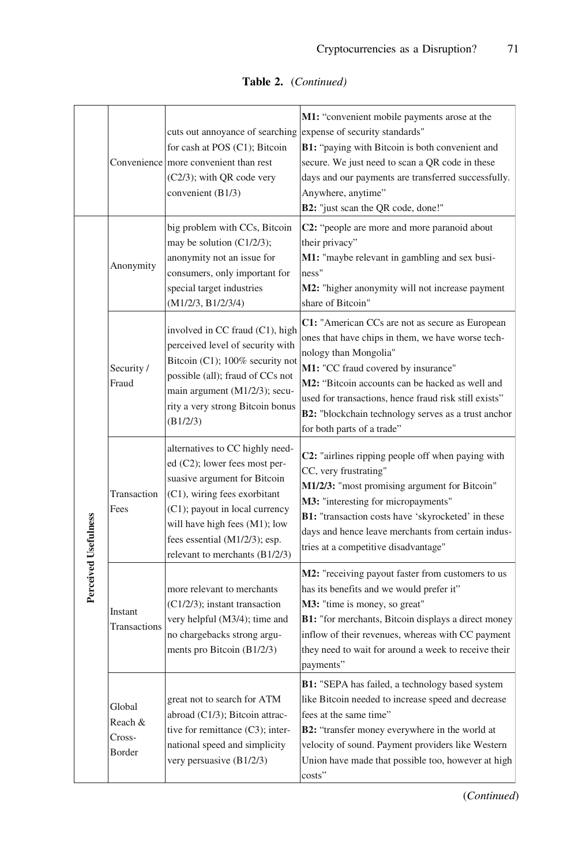|  | Table 2. (Continued) |
|--|----------------------|
|--|----------------------|

|                      |                                              | cuts out annoyance of searching<br>for cash at POS (C1); Bitcoin<br>Convenience more convenient than rest<br>$(C2/3)$ ; with QR code very<br>convenient (B1/3)                                                                                                            | M1: "convenient mobile payments arose at the<br>expense of security standards"<br><b>B1:</b> "paying with Bitcoin is both convenient and<br>secure. We just need to scan a QR code in these<br>days and our payments are transferred successfully.<br>Anywhere, anytime"<br><b>B2:</b> "just scan the QR code, done!"                                                        |
|----------------------|----------------------------------------------|---------------------------------------------------------------------------------------------------------------------------------------------------------------------------------------------------------------------------------------------------------------------------|------------------------------------------------------------------------------------------------------------------------------------------------------------------------------------------------------------------------------------------------------------------------------------------------------------------------------------------------------------------------------|
| Perceived Usefulness | Anonymity                                    | big problem with CCs, Bitcoin<br>may be solution $(C1/2/3)$ ;<br>anonymity not an issue for<br>consumers, only important for<br>special target industries<br>(M1/2/3, B1/2/3/4)                                                                                           | C2: "people are more and more paranoid about<br>their privacy"<br>M1: "maybe relevant in gambling and sex busi-<br>ness"<br>M2: "higher anonymity will not increase payment<br>share of Bitcoin"                                                                                                                                                                             |
|                      | Security /<br>Fraud                          | involved in CC fraud (C1), high<br>perceived level of security with<br>Bitcoin (C1); 100% security not<br>possible (all); fraud of CCs not<br>main argument (M1/2/3); secu-<br>rity a very strong Bitcoin bonus<br>(B1/2/3)                                               | C1: "American CCs are not as secure as European<br>ones that have chips in them, we have worse tech-<br>nology than Mongolia"<br>M1: "CC fraud covered by insurance"<br>M2: "Bitcoin accounts can be hacked as well and<br>used for transactions, hence fraud risk still exists"<br><b>B2:</b> "blockchain technology serves as a trust anchor<br>for both parts of a trade" |
|                      | Transaction<br>Fees                          | alternatives to CC highly need-<br>ed (C2); lower fees most per-<br>suasive argument for Bitcoin<br>(C1), wiring fees exorbitant<br>(C1); payout in local currency<br>will have high fees $(M1)$ ; low<br>fees essential (M1/2/3); esp.<br>relevant to merchants (B1/2/3) | C2: "airlines ripping people off when paying with<br>CC, very frustrating"<br>M1/2/3: "most promising argument for Bitcoin"<br>M3: "interesting for micropayments"<br>B1: "transaction costs have 'skyrocketed' in these<br>days and hence leave merchants from certain indus-<br>tries at a competitive disadvantage"                                                       |
|                      | Instant<br>Transactions                      | more relevant to merchants<br>$(C1/2/3)$ ; instant transaction<br>very helpful (M3/4); time and<br>no chargebacks strong argu-<br>ments pro Bitcoin (B1/2/3)                                                                                                              | M2: "receiving payout faster from customers to us<br>has its benefits and we would prefer it"<br>M3: "time is money, so great"<br><b>B1:</b> "for merchants, Bitcoin displays a direct money<br>inflow of their revenues, whereas with CC payment<br>they need to wait for around a week to receive their<br>payments"                                                       |
|                      | Global<br>Reach &<br>Cross-<br><b>Border</b> | great not to search for ATM<br>abroad (C1/3); Bitcoin attrac-<br>tive for remittance $(C3)$ ; inter-<br>national speed and simplicity<br>very persuasive $(B1/2/3)$                                                                                                       | <b>B1:</b> "SEPA has failed, a technology based system<br>like Bitcoin needed to increase speed and decrease<br>fees at the same time"<br><b>B2:</b> "transfer money everywhere in the world at<br>velocity of sound. Payment providers like Western<br>Union have made that possible too, however at high<br>costs"                                                         |

(Continued)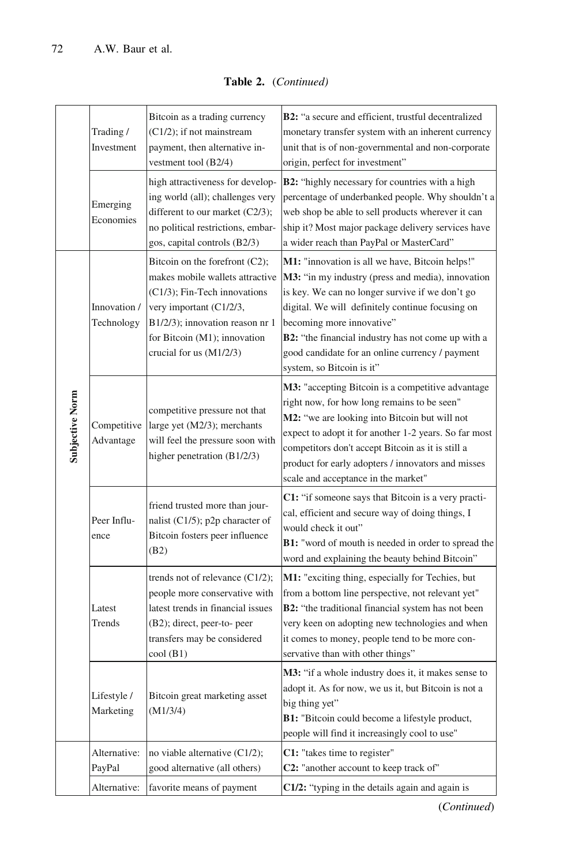|  | Table 2. (Continued) |
|--|----------------------|
|--|----------------------|

|                 | Trading /<br>Investment    | Bitcoin as a trading currency<br>$(C1/2)$ ; if not mainstream<br>payment, then alternative in-<br>vestment tool (B2/4)                                                                                                       | <b>B2:</b> "a secure and efficient, trustful decentralized<br>monetary transfer system with an inherent currency<br>unit that is of non-governmental and non-corporate<br>origin, perfect for investment"                                                                                                                                                                      |
|-----------------|----------------------------|------------------------------------------------------------------------------------------------------------------------------------------------------------------------------------------------------------------------------|--------------------------------------------------------------------------------------------------------------------------------------------------------------------------------------------------------------------------------------------------------------------------------------------------------------------------------------------------------------------------------|
|                 | Emerging<br>Economies      | high attractiveness for develop-<br>ing world (all); challenges very<br>different to our market (C2/3);<br>no political restrictions, embar-<br>gos, capital controls (B2/3)                                                 | B2: "highly necessary for countries with a high<br>percentage of underbanked people. Why shouldn't a<br>web shop be able to sell products wherever it can<br>ship it? Most major package delivery services have<br>a wider reach than PayPal or MasterCard"                                                                                                                    |
|                 | Innovation /<br>Technology | Bitcoin on the forefront (C2);<br>makes mobile wallets attractive<br>(C1/3); Fin-Tech innovations<br>very important (C1/2/3,<br>B1/2/3); innovation reason nr 1<br>for Bitcoin (M1); innovation<br>crucial for us $(M1/2/3)$ | M1: "innovation is all we have, Bitcoin helps!"<br>M3: "in my industry (press and media), innovation<br>is key. We can no longer survive if we don't go<br>digital. We will definitely continue focusing on<br>becoming more innovative"<br>B2: "the financial industry has not come up with a<br>good candidate for an online currency / payment<br>system, so Bitcoin is it" |
| Subjective Norm | Competitive<br>Advantage   | competitive pressure not that<br>large yet (M2/3); merchants<br>will feel the pressure soon with<br>higher penetration (B1/2/3)                                                                                              | M3: "accepting Bitcoin is a competitive advantage<br>right now, for how long remains to be seen"<br>M2: "we are looking into Bitcoin but will not<br>expect to adopt it for another 1-2 years. So far most<br>competitors don't accept Bitcoin as it is still a<br>product for early adopters / innovators and misses<br>scale and acceptance in the market"                   |
|                 | Peer Influ-<br>ence        | friend trusted more than jour-<br>nalist $(C1/5)$ ; p2p character of<br>Bitcoin fosters peer influence<br>(B2)                                                                                                               | C1: "if someone says that Bitcoin is a very practi-<br>cal, efficient and secure way of doing things, I<br>would check it out"<br><b>B1:</b> "word of mouth is needed in order to spread the<br>word and explaining the beauty behind Bitcoin"                                                                                                                                 |
|                 | Latest<br>Trends           | trends not of relevance (C1/2);<br>people more conservative with<br>latest trends in financial issues<br>(B2); direct, peer-to- peer<br>transfers may be considered<br>$\text{cool}(\text{B1})$                              | M1: "exciting thing, especially for Techies, but<br>from a bottom line perspective, not relevant yet"<br>B2: "the traditional financial system has not been<br>very keen on adopting new technologies and when<br>it comes to money, people tend to be more con-<br>servative than with other things"                                                                          |
|                 | Lifestyle /<br>Marketing   | Bitcoin great marketing asset<br>(M1/3/4)                                                                                                                                                                                    | M3: "if a whole industry does it, it makes sense to<br>adopt it. As for now, we us it, but Bitcoin is not a<br>big thing yet"<br>B1: "Bitcoin could become a lifestyle product,<br>people will find it increasingly cool to use"                                                                                                                                               |
|                 | Alternative:<br>PayPal     | no viable alternative (C1/2);<br>good alternative (all others)                                                                                                                                                               | C1: "takes time to register"<br>C2: "another account to keep track of"                                                                                                                                                                                                                                                                                                         |
|                 | Alternative:               | favorite means of payment                                                                                                                                                                                                    | C1/2: "typing in the details again and again is                                                                                                                                                                                                                                                                                                                                |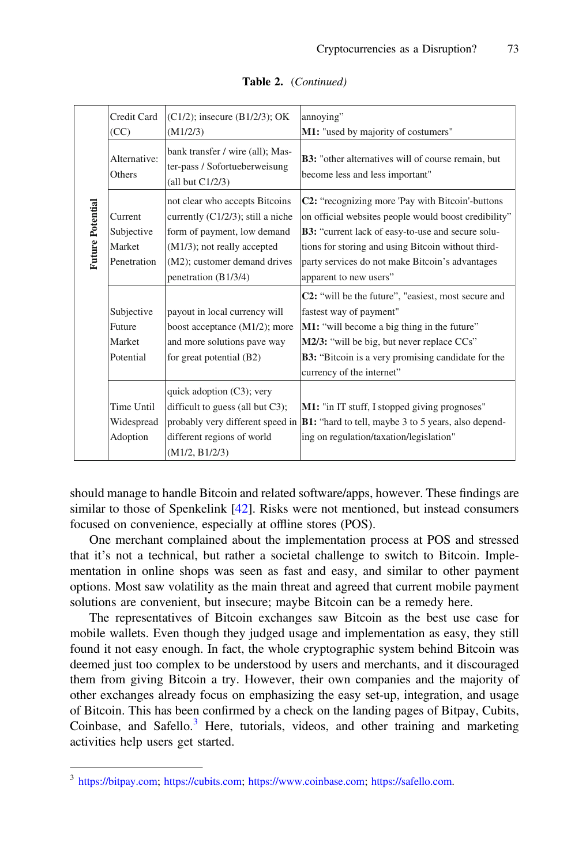|                         | Credit Card<br>(CC)                            | $(C1/2)$ ; insecure $(B1/2/3)$ ; OK<br>(M1/2/3)                                                                                                                                                 | annoying"<br>M1: "used by majority of costumers"                                                                                                                                                                                                                                                 |
|-------------------------|------------------------------------------------|-------------------------------------------------------------------------------------------------------------------------------------------------------------------------------------------------|--------------------------------------------------------------------------------------------------------------------------------------------------------------------------------------------------------------------------------------------------------------------------------------------------|
|                         | Alternative:<br>Others                         | bank transfer / wire (all); Mas-<br>ter-pass / Sofortueberweisung<br>(all but $C1/2/3$ )                                                                                                        | <b>B3:</b> "other alternatives will of course remain, but<br>become less and less important"                                                                                                                                                                                                     |
| <b>Future Potential</b> | Current<br>Subjective<br>Market<br>Penetration | not clear who accepts Bitcoins<br>currently $(C1/2/3)$ ; still a niche<br>form of payment, low demand<br>$(M1/3)$ ; not really accepted<br>(M2); customer demand drives<br>penetration (B1/3/4) | C2: "recognizing more 'Pay with Bitcoin'-buttons<br>on official websites people would boost credibility"<br>B3: "current lack of easy-to-use and secure solu-<br>tions for storing and using Bitcoin without third-<br>party services do not make Bitcoin's advantages<br>apparent to new users" |
|                         | Subjective<br>Future<br>Market<br>Potential    | payout in local currency will<br>boost acceptance (M1/2); more<br>and more solutions pave way<br>for great potential (B2)                                                                       | C2: "will be the future", "easiest, most secure and<br>fastest way of payment"<br><b>M1:</b> "will become a big thing in the future"<br>M2/3: "will be big, but never replace CCs"<br><b>B3:</b> "Bitcoin is a very promising candidate for the<br>currency of the internet"                     |
|                         | Time Until<br>Widespread<br>Adoption           | quick adoption (C3); very<br>difficult to guess (all but C3);<br>different regions of world<br>(M1/2, B1/2/3)                                                                                   | M1: "in IT stuff, I stopped giving prognoses"<br>probably very different speed in $ B1$ : "hard to tell, maybe 3 to 5 years, also depend-<br>ing on regulation/taxation/legislation"                                                                                                             |

|  | <b>Table 2.</b> (Continued) |
|--|-----------------------------|
|--|-----------------------------|

should manage to handle Bitcoin and related software/apps, however. These findings are similar to those of Spenkelink [\[42](#page-16-0)]. Risks were not mentioned, but instead consumers focused on convenience, especially at offline stores (POS).

One merchant complained about the implementation process at POS and stressed that it's not a technical, but rather a societal challenge to switch to Bitcoin. Implementation in online shops was seen as fast and easy, and similar to other payment options. Most saw volatility as the main threat and agreed that current mobile payment solutions are convenient, but insecure; maybe Bitcoin can be a remedy here.

The representatives of Bitcoin exchanges saw Bitcoin as the best use case for mobile wallets. Even though they judged usage and implementation as easy, they still found it not easy enough. In fact, the whole cryptographic system behind Bitcoin was deemed just too complex to be understood by users and merchants, and it discouraged them from giving Bitcoin a try. However, their own companies and the majority of other exchanges already focus on emphasizing the easy set-up, integration, and usage of Bitcoin. This has been confirmed by a check on the landing pages of Bitpay, Cubits, Coinbase, and Safello.<sup>3</sup> Here, tutorials, videos, and other training and marketing activities help users get started.

<sup>3</sup> <https://bitpay.com>; <https://cubits.com>; [https://www.coinbase.com;](https://www.coinbase.com) [https://safello.com.](https://safello.com)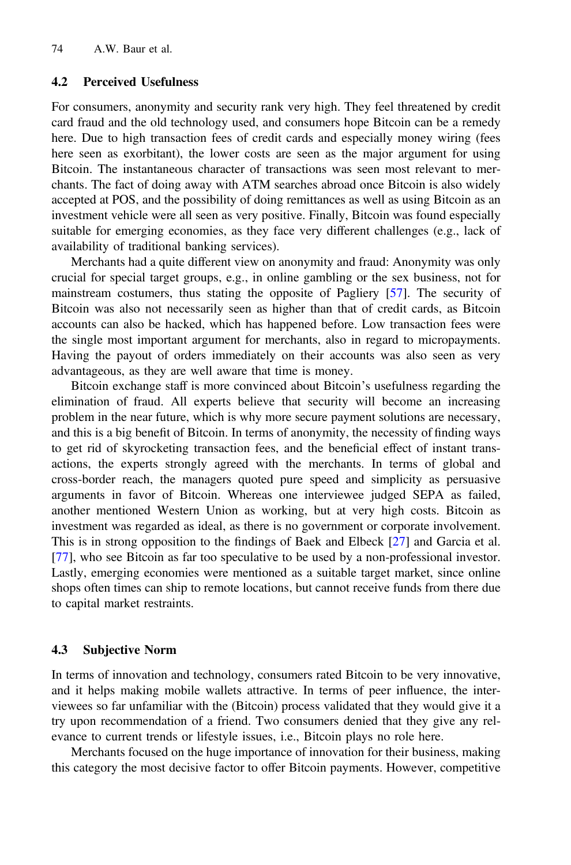#### 4.2 Perceived Usefulness

For consumers, anonymity and security rank very high. They feel threatened by credit card fraud and the old technology used, and consumers hope Bitcoin can be a remedy here. Due to high transaction fees of credit cards and especially money wiring (fees here seen as exorbitant), the lower costs are seen as the major argument for using Bitcoin. The instantaneous character of transactions was seen most relevant to merchants. The fact of doing away with ATM searches abroad once Bitcoin is also widely accepted at POS, and the possibility of doing remittances as well as using Bitcoin as an investment vehicle were all seen as very positive. Finally, Bitcoin was found especially suitable for emerging economies, as they face very different challenges (e.g., lack of availability of traditional banking services).

Merchants had a quite different view on anonymity and fraud: Anonymity was only crucial for special target groups, e.g., in online gambling or the sex business, not for mainstream costumers, thus stating the opposite of Pagliery [\[57](#page-17-0)]. The security of Bitcoin was also not necessarily seen as higher than that of credit cards, as Bitcoin accounts can also be hacked, which has happened before. Low transaction fees were the single most important argument for merchants, also in regard to micropayments. Having the payout of orders immediately on their accounts was also seen as very advantageous, as they are well aware that time is money.

Bitcoin exchange staff is more convinced about Bitcoin's usefulness regarding the elimination of fraud. All experts believe that security will become an increasing problem in the near future, which is why more secure payment solutions are necessary, and this is a big benefit of Bitcoin. In terms of anonymity, the necessity of finding ways to get rid of skyrocketing transaction fees, and the beneficial effect of instant transactions, the experts strongly agreed with the merchants. In terms of global and cross-border reach, the managers quoted pure speed and simplicity as persuasive arguments in favor of Bitcoin. Whereas one interviewee judged SEPA as failed, another mentioned Western Union as working, but at very high costs. Bitcoin as investment was regarded as ideal, as there is no government or corporate involvement. This is in strong opposition to the findings of Baek and Elbeck [\[27](#page-15-0)] and Garcia et al. [[77\]](#page-17-0), who see Bitcoin as far too speculative to be used by a non-professional investor. Lastly, emerging economies were mentioned as a suitable target market, since online shops often times can ship to remote locations, but cannot receive funds from there due to capital market restraints.

#### 4.3 Subjective Norm

In terms of innovation and technology, consumers rated Bitcoin to be very innovative, and it helps making mobile wallets attractive. In terms of peer influence, the interviewees so far unfamiliar with the (Bitcoin) process validated that they would give it a try upon recommendation of a friend. Two consumers denied that they give any relevance to current trends or lifestyle issues, i.e., Bitcoin plays no role here.

Merchants focused on the huge importance of innovation for their business, making this category the most decisive factor to offer Bitcoin payments. However, competitive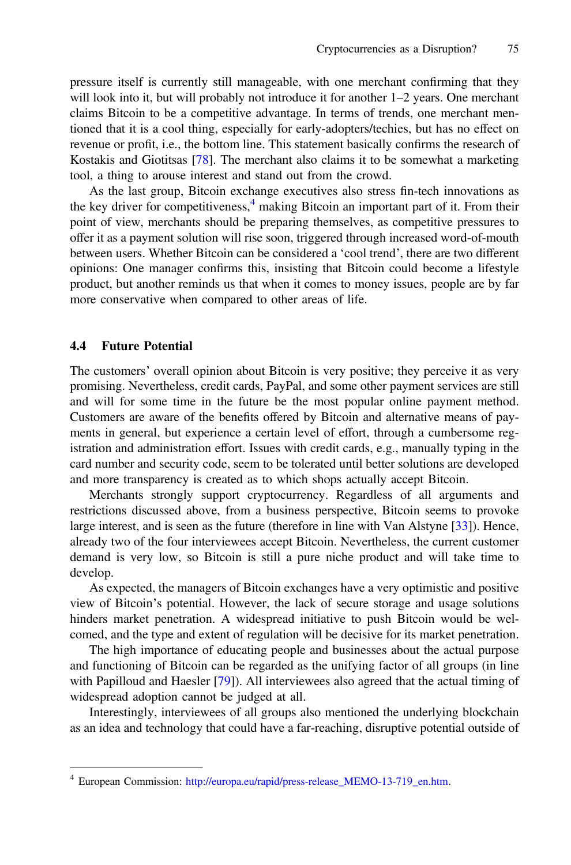pressure itself is currently still manageable, with one merchant confirming that they will look into it, but will probably not introduce it for another  $1-2$  years. One merchant claims Bitcoin to be a competitive advantage. In terms of trends, one merchant mentioned that it is a cool thing, especially for early-adopters/techies, but has no effect on revenue or profit, i.e., the bottom line. This statement basically confirms the research of Kostakis and Giotitsas [[78\]](#page-17-0). The merchant also claims it to be somewhat a marketing tool, a thing to arouse interest and stand out from the crowd.

As the last group, Bitcoin exchange executives also stress fin-tech innovations as the key driver for competitiveness, $\frac{4}{3}$  making Bitcoin an important part of it. From their point of view, merchants should be preparing themselves, as competitive pressures to offer it as a payment solution will rise soon, triggered through increased word-of-mouth between users. Whether Bitcoin can be considered a 'cool trend', there are two different opinions: One manager confirms this, insisting that Bitcoin could become a lifestyle product, but another reminds us that when it comes to money issues, people are by far more conservative when compared to other areas of life.

#### 4.4 Future Potential

The customers' overall opinion about Bitcoin is very positive; they perceive it as very promising. Nevertheless, credit cards, PayPal, and some other payment services are still and will for some time in the future be the most popular online payment method. Customers are aware of the benefits offered by Bitcoin and alternative means of payments in general, but experience a certain level of effort, through a cumbersome registration and administration effort. Issues with credit cards, e.g., manually typing in the card number and security code, seem to be tolerated until better solutions are developed and more transparency is created as to which shops actually accept Bitcoin.

Merchants strongly support cryptocurrency. Regardless of all arguments and restrictions discussed above, from a business perspective, Bitcoin seems to provoke large interest, and is seen as the future (therefore in line with Van Alstyne [[33\]](#page-16-0)). Hence, already two of the four interviewees accept Bitcoin. Nevertheless, the current customer demand is very low, so Bitcoin is still a pure niche product and will take time to develop.

As expected, the managers of Bitcoin exchanges have a very optimistic and positive view of Bitcoin's potential. However, the lack of secure storage and usage solutions hinders market penetration. A widespread initiative to push Bitcoin would be welcomed, and the type and extent of regulation will be decisive for its market penetration.

The high importance of educating people and businesses about the actual purpose and functioning of Bitcoin can be regarded as the unifying factor of all groups (in line with Papilloud and Haesler [[79\]](#page-17-0)). All interviewees also agreed that the actual timing of widespread adoption cannot be judged at all.

Interestingly, interviewees of all groups also mentioned the underlying blockchain as an idea and technology that could have a far-reaching, disruptive potential outside of

<sup>4</sup> European Commission: [http://europa.eu/rapid/press-release\\_MEMO-13-719\\_en.htm](http://europa.eu/rapid/press-release_MEMO-13-719_en.htm).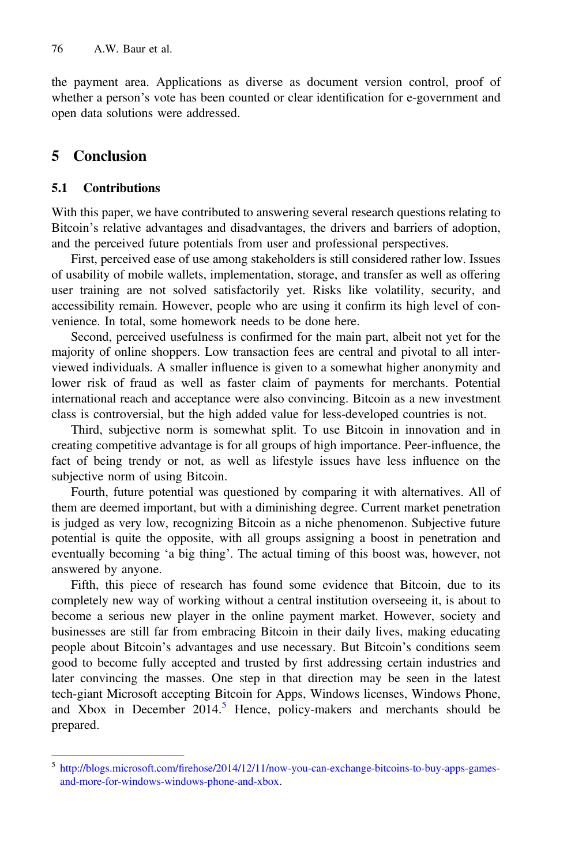the payment area. Applications as diverse as document version control, proof of whether a person's vote has been counted or clear identification for e-government and open data solutions were addressed.

# 5 Conclusion

### 5.1 Contributions

With this paper, we have contributed to answering several research questions relating to Bitcoin's relative advantages and disadvantages, the drivers and barriers of adoption, and the perceived future potentials from user and professional perspectives.

First, perceived ease of use among stakeholders is still considered rather low. Issues of usability of mobile wallets, implementation, storage, and transfer as well as offering user training are not solved satisfactorily yet. Risks like volatility, security, and accessibility remain. However, people who are using it confirm its high level of convenience. In total, some homework needs to be done here.

Second, perceived usefulness is confirmed for the main part, albeit not yet for the majority of online shoppers. Low transaction fees are central and pivotal to all interviewed individuals. A smaller influence is given to a somewhat higher anonymity and lower risk of fraud as well as faster claim of payments for merchants. Potential international reach and acceptance were also convincing. Bitcoin as a new investment class is controversial, but the high added value for less-developed countries is not.

Third, subjective norm is somewhat split. To use Bitcoin in innovation and in creating competitive advantage is for all groups of high importance. Peer-influence, the fact of being trendy or not, as well as lifestyle issues have less influence on the subjective norm of using Bitcoin.

Fourth, future potential was questioned by comparing it with alternatives. All of them are deemed important, but with a diminishing degree. Current market penetration is judged as very low, recognizing Bitcoin as a niche phenomenon. Subjective future potential is quite the opposite, with all groups assigning a boost in penetration and eventually becoming 'a big thing'. The actual timing of this boost was, however, not answered by anyone.

Fifth, this piece of research has found some evidence that Bitcoin, due to its completely new way of working without a central institution overseeing it, is about to become a serious new player in the online payment market. However, society and businesses are still far from embracing Bitcoin in their daily lives, making educating people about Bitcoin's advantages and use necessary. But Bitcoin's conditions seem good to become fully accepted and trusted by first addressing certain industries and later convincing the masses. One step in that direction may be seen in the latest tech-giant Microsoft accepting Bitcoin for Apps, Windows licenses, Windows Phone, and Xbox in December  $2014$ <sup>5</sup> Hence, policy-makers and merchants should be prepared.

<sup>5</sup> http://blogs.microsoft.com/fi[rehose/2014/12/11/now-you-can-exchange-bitcoins-to-buy-apps-games](http://blogs.microsoft.com/firehose/2014/12/11/now-you-can-exchange-bitcoins-to-buy-apps-games-and-more-for-windows-windows-phone-and-xbox)[and-more-for-windows-windows-phone-and-xbox](http://blogs.microsoft.com/firehose/2014/12/11/now-you-can-exchange-bitcoins-to-buy-apps-games-and-more-for-windows-windows-phone-and-xbox).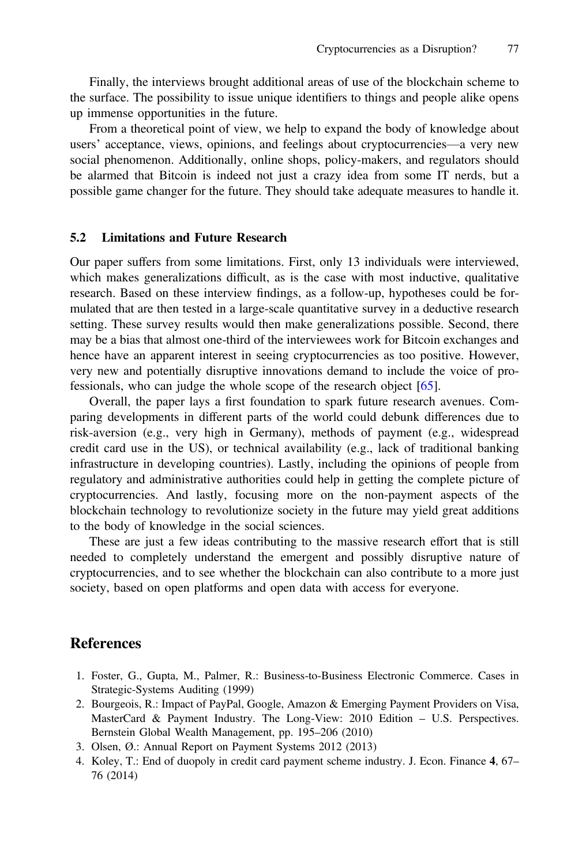<span id="page-14-0"></span>Finally, the interviews brought additional areas of use of the blockchain scheme to the surface. The possibility to issue unique identifiers to things and people alike opens up immense opportunities in the future.

From a theoretical point of view, we help to expand the body of knowledge about users' acceptance, views, opinions, and feelings about cryptocurrencies—a very new social phenomenon. Additionally, online shops, policy-makers, and regulators should be alarmed that Bitcoin is indeed not just a crazy idea from some IT nerds, but a possible game changer for the future. They should take adequate measures to handle it.

#### 5.2 Limitations and Future Research

Our paper suffers from some limitations. First, only 13 individuals were interviewed, which makes generalizations difficult, as is the case with most inductive, qualitative research. Based on these interview findings, as a follow-up, hypotheses could be formulated that are then tested in a large-scale quantitative survey in a deductive research setting. These survey results would then make generalizations possible. Second, there may be a bias that almost one-third of the interviewees work for Bitcoin exchanges and hence have an apparent interest in seeing cryptocurrencies as too positive. However, very new and potentially disruptive innovations demand to include the voice of professionals, who can judge the whole scope of the research object [[65\]](#page-17-0).

Overall, the paper lays a first foundation to spark future research avenues. Comparing developments in different parts of the world could debunk differences due to risk-aversion (e.g., very high in Germany), methods of payment (e.g., widespread credit card use in the US), or technical availability (e.g., lack of traditional banking infrastructure in developing countries). Lastly, including the opinions of people from regulatory and administrative authorities could help in getting the complete picture of cryptocurrencies. And lastly, focusing more on the non-payment aspects of the blockchain technology to revolutionize society in the future may yield great additions to the body of knowledge in the social sciences.

These are just a few ideas contributing to the massive research effort that is still needed to completely understand the emergent and possibly disruptive nature of cryptocurrencies, and to see whether the blockchain can also contribute to a more just society, based on open platforms and open data with access for everyone.

### References

- 1. Foster, G., Gupta, M., Palmer, R.: Business-to-Business Electronic Commerce. Cases in Strategic-Systems Auditing (1999)
- 2. Bourgeois, R.: Impact of PayPal, Google, Amazon & Emerging Payment Providers on Visa, MasterCard & Payment Industry. The Long-View: 2010 Edition – U.S. Perspectives. Bernstein Global Wealth Management, pp. 195–206 (2010)
- 3. Olsen, Ø.: Annual Report on Payment Systems 2012 (2013)
- 4. Koley, T.: End of duopoly in credit card payment scheme industry. J. Econ. Finance 4, 67– 76 (2014)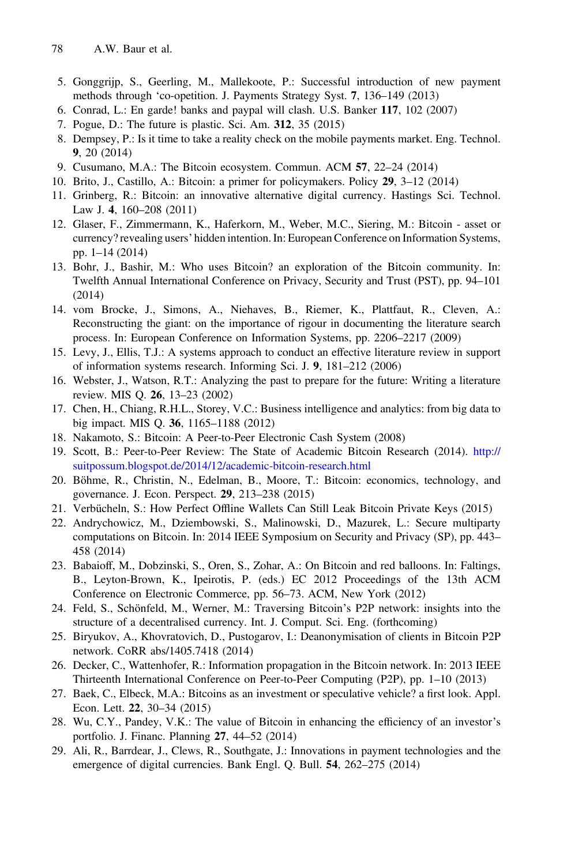- <span id="page-15-0"></span>5. Gonggrijp, S., Geerling, M., Mallekoote, P.: Successful introduction of new payment methods through 'co-opetition. J. Payments Strategy Syst. 7, 136–149 (2013)
- 6. Conrad, L.: En garde! banks and paypal will clash. U.S. Banker 117, 102 (2007)
- 7. Pogue, D.: The future is plastic. Sci. Am. 312, 35 (2015)
- 8. Dempsey, P.: Is it time to take a reality check on the mobile payments market. Eng. Technol. 9, 20 (2014)
- 9. Cusumano, M.A.: The Bitcoin ecosystem. Commun. ACM 57, 22–24 (2014)
- 10. Brito, J., Castillo, A.: Bitcoin: a primer for policymakers. Policy 29, 3–12 (2014)
- 11. Grinberg, R.: Bitcoin: an innovative alternative digital currency. Hastings Sci. Technol. Law J. 4, 160–208 (2011)
- 12. Glaser, F., Zimmermann, K., Haferkorn, M., Weber, M.C., Siering, M.: Bitcoin asset or currency? revealing users' hidden intention. In: European Conference on Information Systems, pp. 1–14 (2014)
- 13. Bohr, J., Bashir, M.: Who uses Bitcoin? an exploration of the Bitcoin community. In: Twelfth Annual International Conference on Privacy, Security and Trust (PST), pp. 94–101 (2014)
- 14. vom Brocke, J., Simons, A., Niehaves, B., Riemer, K., Plattfaut, R., Cleven, A.: Reconstructing the giant: on the importance of rigour in documenting the literature search process. In: European Conference on Information Systems, pp. 2206–2217 (2009)
- 15. Levy, J., Ellis, T.J.: A systems approach to conduct an effective literature review in support of information systems research. Informing Sci. J. 9, 181–212 (2006)
- 16. Webster, J., Watson, R.T.: Analyzing the past to prepare for the future: Writing a literature review. MIS Q. 26, 13–23 (2002)
- 17. Chen, H., Chiang, R.H.L., Storey, V.C.: Business intelligence and analytics: from big data to big impact. MIS Q. 36, 1165–1188 (2012)
- 18. Nakamoto, S.: Bitcoin: A Peer-to-Peer Electronic Cash System (2008)
- 19. Scott, B.: Peer-to-Peer Review: The State of Academic Bitcoin Research (2014). [http://](http://suitpossum.blogspot.de/2014/12/academic-bitcoin-research.html) [suitpossum.blogspot.de/2014/12/academic-bitcoin-research.html](http://suitpossum.blogspot.de/2014/12/academic-bitcoin-research.html)
- 20. Böhme, R., Christin, N., Edelman, B., Moore, T.: Bitcoin: economics, technology, and governance. J. Econ. Perspect. 29, 213–238 (2015)
- 21. Verbücheln, S.: How Perfect Offline Wallets Can Still Leak Bitcoin Private Keys (2015)
- 22. Andrychowicz, M., Dziembowski, S., Malinowski, D., Mazurek, L.: Secure multiparty computations on Bitcoin. In: 2014 IEEE Symposium on Security and Privacy (SP), pp. 443– 458 (2014)
- 23. Babaioff, M., Dobzinski, S., Oren, S., Zohar, A.: On Bitcoin and red balloons. In: Faltings, B., Leyton-Brown, K., Ipeirotis, P. (eds.) EC 2012 Proceedings of the 13th ACM Conference on Electronic Commerce, pp. 56–73. ACM, New York (2012)
- 24. Feld, S., Schönfeld, M., Werner, M.: Traversing Bitcoin's P2P network: insights into the structure of a decentralised currency. Int. J. Comput. Sci. Eng. (forthcoming)
- 25. Biryukov, A., Khovratovich, D., Pustogarov, I.: Deanonymisation of clients in Bitcoin P2P network. CoRR abs/1405.7418 (2014)
- 26. Decker, C., Wattenhofer, R.: Information propagation in the Bitcoin network. In: 2013 IEEE Thirteenth International Conference on Peer-to-Peer Computing (P2P), pp. 1–10 (2013)
- 27. Baek, C., Elbeck, M.A.: Bitcoins as an investment or speculative vehicle? a first look. Appl. Econ. Lett. 22, 30–34 (2015)
- 28. Wu, C.Y., Pandey, V.K.: The value of Bitcoin in enhancing the efficiency of an investor's portfolio. J. Financ. Planning 27, 44–52 (2014)
- 29. Ali, R., Barrdear, J., Clews, R., Southgate, J.: Innovations in payment technologies and the emergence of digital currencies. Bank Engl. Q. Bull. 54, 262–275 (2014)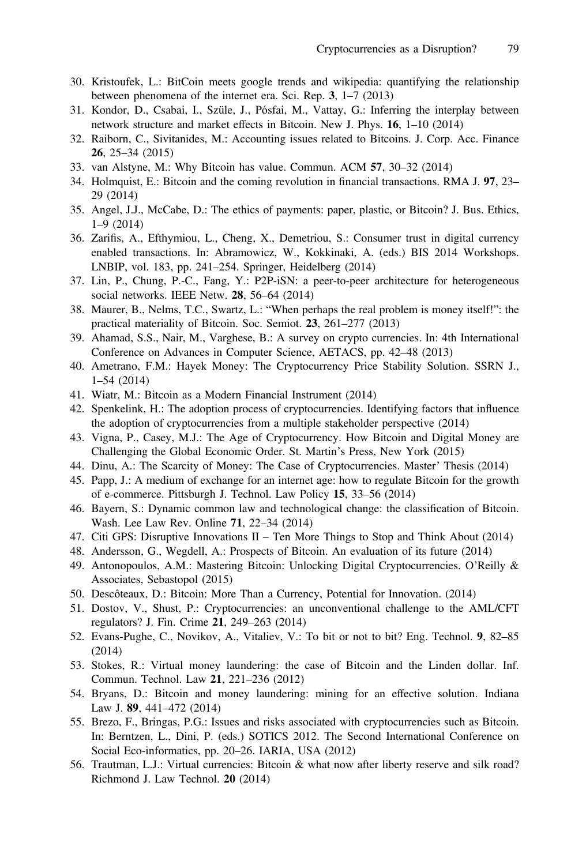- <span id="page-16-0"></span>30. Kristoufek, L.: BitCoin meets google trends and wikipedia: quantifying the relationship between phenomena of the internet era. Sci. Rep. 3, 1–7 (2013)
- 31. Kondor, D., Csabai, I., Szüle, J., Pósfai, M., Vattay, G.: Inferring the interplay between network structure and market effects in Bitcoin. New J. Phys. 16, 1–10 (2014)
- 32. Raiborn, C., Sivitanides, M.: Accounting issues related to Bitcoins. J. Corp. Acc. Finance 26, 25–34 (2015)
- 33. van Alstyne, M.: Why Bitcoin has value. Commun. ACM 57, 30–32 (2014)
- 34. Holmquist, E.: Bitcoin and the coming revolution in financial transactions. RMA J. 97, 23– 29 (2014)
- 35. Angel, J.J., McCabe, D.: The ethics of payments: paper, plastic, or Bitcoin? J. Bus. Ethics, 1–9 (2014)
- 36. Zarifis, A., Efthymiou, L., Cheng, X., Demetriou, S.: Consumer trust in digital currency enabled transactions. In: Abramowicz, W., Kokkinaki, A. (eds.) BIS 2014 Workshops. LNBIP, vol. 183, pp. 241–254. Springer, Heidelberg (2014)
- 37. Lin, P., Chung, P.-C., Fang, Y.: P2P-iSN: a peer-to-peer architecture for heterogeneous social networks. IEEE Netw. 28, 56–64 (2014)
- 38. Maurer, B., Nelms, T.C., Swartz, L.: "When perhaps the real problem is money itself!": the practical materiality of Bitcoin. Soc. Semiot. 23, 261–277 (2013)
- 39. Ahamad, S.S., Nair, M., Varghese, B.: A survey on crypto currencies. In: 4th International Conference on Advances in Computer Science, AETACS, pp. 42–48 (2013)
- 40. Ametrano, F.M.: Hayek Money: The Cryptocurrency Price Stability Solution. SSRN J., 1–54 (2014)
- 41. Wiatr, M.: Bitcoin as a Modern Financial Instrument (2014)
- 42. Spenkelink, H.: The adoption process of cryptocurrencies. Identifying factors that influence the adoption of cryptocurrencies from a multiple stakeholder perspective (2014)
- 43. Vigna, P., Casey, M.J.: The Age of Cryptocurrency. How Bitcoin and Digital Money are Challenging the Global Economic Order. St. Martin's Press, New York (2015)
- 44. Dinu, A.: The Scarcity of Money: The Case of Cryptocurrencies. Master' Thesis (2014)
- 45. Papp, J.: A medium of exchange for an internet age: how to regulate Bitcoin for the growth of e-commerce. Pittsburgh J. Technol. Law Policy 15, 33–56 (2014)
- 46. Bayern, S.: Dynamic common law and technological change: the classification of Bitcoin. Wash. Lee Law Rev. Online 71, 22–34 (2014)
- 47. Citi GPS: Disruptive Innovations II Ten More Things to Stop and Think About (2014)
- 48. Andersson, G., Wegdell, A.: Prospects of Bitcoin. An evaluation of its future (2014)
- 49. Antonopoulos, A.M.: Mastering Bitcoin: Unlocking Digital Cryptocurrencies. O'Reilly & Associates, Sebastopol (2015)
- 50. Descôteaux, D.: Bitcoin: More Than a Currency, Potential for Innovation. (2014)
- 51. Dostov, V., Shust, P.: Cryptocurrencies: an unconventional challenge to the AML/CFT regulators? J. Fin. Crime 21, 249–263 (2014)
- 52. Evans-Pughe, C., Novikov, A., Vitaliev, V.: To bit or not to bit? Eng. Technol. 9, 82–85 (2014)
- 53. Stokes, R.: Virtual money laundering: the case of Bitcoin and the Linden dollar. Inf. Commun. Technol. Law 21, 221–236 (2012)
- 54. Bryans, D.: Bitcoin and money laundering: mining for an effective solution. Indiana Law J. 89, 441–472 (2014)
- 55. Brezo, F., Bringas, P.G.: Issues and risks associated with cryptocurrencies such as Bitcoin. In: Berntzen, L., Dini, P. (eds.) SOTICS 2012. The Second International Conference on Social Eco-informatics, pp. 20–26. IARIA, USA (2012)
- 56. Trautman, L.J.: Virtual currencies: Bitcoin & what now after liberty reserve and silk road? Richmond J. Law Technol. 20 (2014)